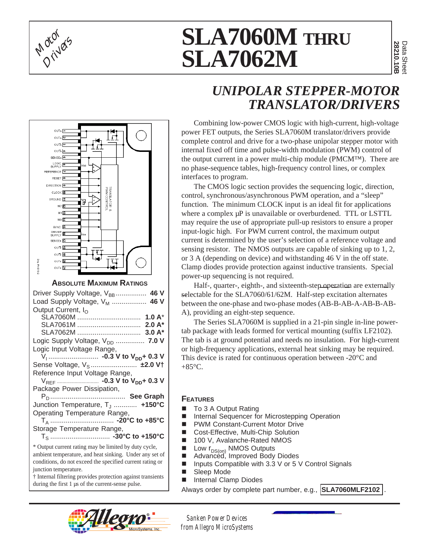

# **SLA7060M THRU SLA7062M**

Data Sheet<br>28210.10B **28210.10B** Data Sheet

#### OUTA<sub>F</sub>  $\mathbf{H}$ OUTA<sup>N</sup> 0∪TA <sup>[ω</sup>  $OUTA \rightarrow$ SENSEA<sup>D</sup>  $_{\text{SUPPLY}}^{\text{LOGIC}}$ **REFERENCE** RESET **∞** DIRECTION **@** TRANSLATOR &  $CLOCK$ GROUND<sup>E</sup> ₹  $M2$   $\overline{R}$  $M1$ ದ M0 区 SYNC. DRIVER<sub>E</sub> SENSE® R  $0 \cup \sqrt{5}$  $OUTB$ Sing OUT® P ंध PK013 OUT B **ABSOLUTE MAXIMUM RATINGS** Driver Supply Voltage, V<sub>BB</sub>................ 46 V Load Supply Voltage, V<sub>M</sub> .................. 46 V Output Current, I<sub>O</sub> SLA7060M ................................. **1.0 A**\* SLA7061M ................................. **2.0 A\*** SLA7062M ................................. **3.0 A\*** Logic Supply Voltage, V<sub>DD</sub> ............... **7.0 V** Logic Input Voltage Range, VI .......................... **-0.3 V to VDD+ 0.3 V** Sense Voltage, V<sub>S</sub> .......................... **±2.0 V†** Reference Input Voltage Range, VREF ............................... **-0.3 V to VDD+ 0.3 V** Package Power Dissipation, PD ....................................... **See Graph** Junction Temperature, T<sub>J</sub> ............ +150°C Operating Temperature Range, TA ................................. **-20°C to +85°C** Storage Temperature Range, TS ............................... **-30°C to +150°C** \* Output current rating may be limited by duty cycle, ambient temperature, and heat sinking. Under any set of conditions, do not exceed the specified current rating or

junction temperature.

† Internal filtering provides protection against transients during the first 1 µs of the current-sense pulse.

# *UNIPOLAR STEPPER-MOTOR TRANSLATOR/DRIVERS*

Combining low-power CMOS logic with high-current, high-voltage power FET outputs, the Series SLA7060M translator/drivers provide complete control and drive for a two-phase unipolar stepper motor with internal fixed off time and pulse-width modulation (PWM) control of the output current in a power multi-chip module (PMCM™). There are no phase-sequence tables, high-frequency control lines, or complex interfaces to program.

The CMOS logic section provides the sequencing logic, direction, control, synchronous/asynchronous PWM operation, and a "sleep" function. The minimum CLOCK input is an ideal fit for applications where a complex  $\mu$ P is unavailable or overburdened. TTL or LSTTL may require the use of appropriate pull-up resistors to ensure a proper input-logic high. For PWM current control, the maximum output current is determined by the user's selection of a reference voltage and sensing resistor. The NMOS outputs are capable of sinking up to 1, 2, or 3 A (depending on device) and withstanding 46 V in the off state. Clamp diodes provide protection against inductive transients. Special power-up sequencing is not required.

Half-, quarter-, eighth-, and sixteenth-step operation are externally selectable for the SLA7060/61/62M. Half-step excitation alternates between the one-phase and two-phase modes (AB-B-AB-A-AB-B-AB-A), providing an eight-step sequence.

The Series SLA7060M is supplied in a 21-pin single in-line powertab package with leads formed for vertical mounting (suffix LF2102). The tab is at ground potential and needs no insulation. For high-current or high-frequency applications, external heat sinking may be required. This device is rated for continuous operation between -20°C and  $+85^{\circ}$ C.

### **FEATURES**

- To 3 A Output Rating
- **I** Internal Sequencer for Microstepping Operation
- PWM Constant-Current Motor Drive
- Cost-Effective, Multi-Chip Solution
- 100 V, Avalanche-Rated NMOS
- **Low**  $r_{DS(on)}$  **NMOS Outputs**<br>**Advanced Improved Body**
- Advanced, Improved Body Diodes
- Inputs Compatible with 3.3 V or 5 V Control Signals
- Sleep Mode
- **Internal Clamp Diodes**

Always order by complete part number, e.g., **SLA7060MLF2102**.



*Sanken Power Devices from Allegro MicroSystems*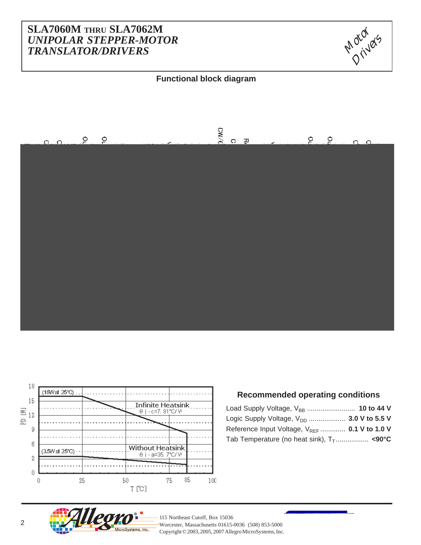

### **Functional block diagram**





### **Recommended operating conditions**

| Logic Supply Voltage, V <sub>DD</sub> 3.0 V to 5.5 V     |  |
|----------------------------------------------------------|--|
| Reference Input Voltage, V <sub>REF</sub> 0.1 V to 1.0 V |  |
|                                                          |  |



115 Northeast Cutoff, Box 15036 Worcester, Massachusetts 01615-0036 (508) 853-5000 Copyright © 2003, 2005, 2007 Allegro MicroSystems, Inc.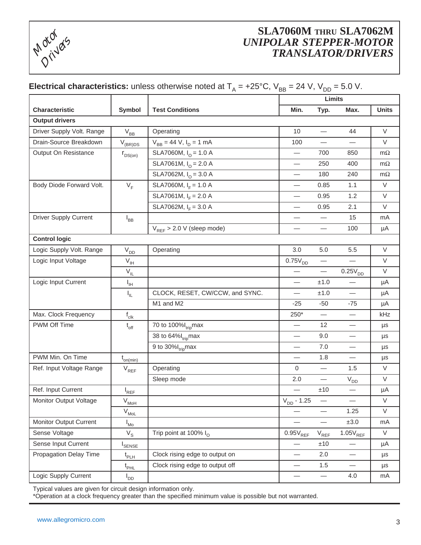

# **Electrical characteristics:** unless otherwise noted at  $T_A = +25^{\circ}C$ ,  $V_{BB} = 24$  V,  $V_{DD} = 5.0$  V.

|                               |                                    |                                   |                          | Limits                          |                                 |              |
|-------------------------------|------------------------------------|-----------------------------------|--------------------------|---------------------------------|---------------------------------|--------------|
| <b>Characteristic</b>         | <b>Symbol</b>                      | <b>Test Conditions</b>            | Min.                     | Typ.                            | Max.                            | <b>Units</b> |
| <b>Output drivers</b>         |                                    |                                   |                          |                                 |                                 |              |
| Driver Supply Volt. Range     | $V_{BB}$                           | Operating                         | 10                       | $\overline{\phantom{0}}$        | 44                              | $\vee$       |
| Drain-Source Breakdown        | $V_{\frac{\text{(BR)DS}}{\text{}}$ | $V_{BB} = 44 V, I_D = 1 mA$       | 100                      |                                 |                                 | $\vee$       |
| Output On Resistance          | $r_{DS(on)}$                       | SLA7060M, $I_{\Omega} = 1.0 A$    | $\overline{\phantom{0}}$ | 700                             | 850                             | $m\Omega$    |
|                               |                                    | SLA7061M, $I_{\Omega} = 2.0$ A    | $\overline{\phantom{0}}$ | 250                             | 400                             | $m\Omega$    |
|                               |                                    | SLA7062M, $I_{\Omega} = 3.0 A$    |                          | 180                             | 240                             | $m\Omega$    |
| Body Diode Forward Volt.      | $V_F$                              | SLA7060M, $I_F = 1.0 A$           |                          | 0.85                            | 1.1                             | $\vee$       |
|                               |                                    | SLA7061M, $I_F = 2.0 A$           | $\overline{\phantom{0}}$ | 0.95                            | 1.2                             | $\vee$       |
|                               |                                    | SLA7062M, $I_F = 3.0 A$           | $\overline{\phantom{0}}$ | 0.95                            | 2.1                             | $\vee$       |
| <b>Driver Supply Current</b>  | $I_{BB}$                           |                                   |                          | $\overline{\phantom{0}}$        | 15                              | mA           |
|                               |                                    | $V_{REF}$ > 2.0 V (sleep mode)    | $\overline{\phantom{0}}$ |                                 | 100                             | μA           |
| <b>Control logic</b>          |                                    |                                   |                          |                                 |                                 |              |
| Logic Supply Volt. Range      | $\rm V_{DD}$                       | Operating                         | 3.0                      | 5.0                             | 5.5                             | $\vee$       |
| Logic Input Voltage           | $\mathsf{V}_{\mathsf{IH}}$         |                                   | $0.75V_{DD}$             |                                 |                                 | $\vee$       |
|                               | $V_{IL}$                           |                                   |                          | $\overline{\phantom{0}}$        | $0.25V_{DD}$                    | $\vee$       |
| Logic Input Current           | $I_{\rm IH}$                       |                                   | $\overline{\phantom{0}}$ | ±1.0                            |                                 | μA           |
|                               | $I_{\rm IL}$                       | CLOCK, RESET, CW/CCW, and SYNC.   |                          | $\pm 1.0$                       | $\overline{\phantom{0}}$        | μA           |
|                               |                                    | M1 and M2                         | $-25$                    | $-50$                           | $-75$                           | μA           |
| Max. Clock Frequency          | $f_{\rm clk}$                      |                                   | 250*                     | $\overbrace{\qquad \qquad }^{}$ | $\overline{\phantom{0}}$        | kHz          |
| PWM Off Time                  | $t_{\rm off}$                      | 70 to 100% l <sub>trip</sub> max  |                          | 12                              |                                 | μs           |
|                               |                                    | 38 to 64% l <sub>trip</sub> max   | $\overline{\phantom{0}}$ | 9.0                             | $\overline{\phantom{m}}$        | μs           |
|                               |                                    | 9 to 30% I <sub>trip</sub> max    |                          | 7.0                             | $\overline{\phantom{0}}$        | μs           |
| PWM Min. On Time              | $t_{on(min)}$                      |                                   | $\overline{\phantom{0}}$ | 1.8                             | $\overline{\phantom{0}}$        | μs           |
| Ref. Input Voltage Range      | $V_{REF}$                          | Operating                         | 0                        |                                 | 1.5                             | $\vee$       |
|                               |                                    | Sleep mode                        | 2.0                      | $\overline{\phantom{0}}$        | $V_{DD}$                        | $\vee$       |
| Ref. Input Current            | $I_{REF}$                          |                                   |                          | ±10                             |                                 | μA           |
| Monitor Output Voltage        | $V_{M0H}$                          |                                   | $V_{DD}$ - 1.25          | $\overline{\phantom{0}}$        | $\overline{\phantom{0}}$        | $\vee$       |
|                               | $V_{\text{Mol}}$                   |                                   |                          | $\overline{\phantom{0}}$        | 1.25                            | $\vee$       |
| <b>Monitor Output Current</b> | $I_{\mathsf{Mo}}$                  |                                   |                          |                                 | ±3.0                            | mA           |
| Sense Voltage                 | $V_S$                              | Trip point at 100% I <sub>o</sub> | $0.95V_{REF}$            | $\rm V_{REF}$                   | $1.05\mathrm{V}_{\mathrm{REF}}$ | $\vee$       |
| Sense Input Current           | $I_{\text{SENSE}}$                 |                                   |                          | ±10                             |                                 | μA           |
| Propagation Delay Time        | $t_{PLH}$                          | Clock rising edge to output on    | $\overline{\phantom{0}}$ | 2.0                             |                                 | μs           |
|                               | $\mathfrak{t}_{\mathsf{PHL}}$      | Clock rising edge to output off   | $\overline{\phantom{0}}$ | 1.5                             |                                 | μs           |
| Logic Supply Current          | $I_{DD}$                           |                                   | —                        |                                 | 4.0                             | mA           |

Typical values are given for circuit design information only.

\*Operation at a clock frequency greater than the specified minimum value is possible but not warranted.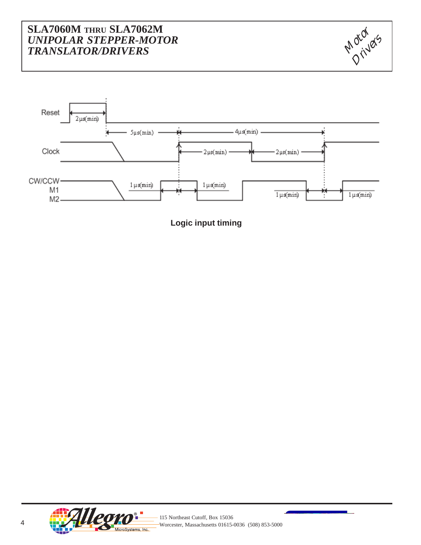



**Logic input timing**

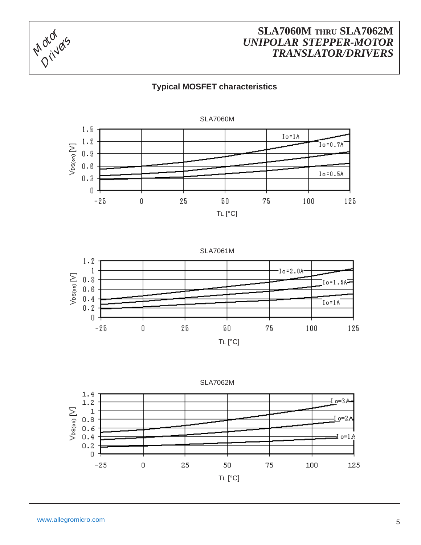

### **Typical MOSFET characteristics**







SLA7062M $1.4$  $I_0=3A$  $1.2$  $V_{DS(0n)}[V]$  $\mathbf 1$  $-1$  o=2 $A$  $\scriptstyle{0.8}$  $0.6$  $I_0=1A$  $0.4$  $0.2$  $\mathbf 0$ O  $-25$ 25 50 75 100 125 TL [°C]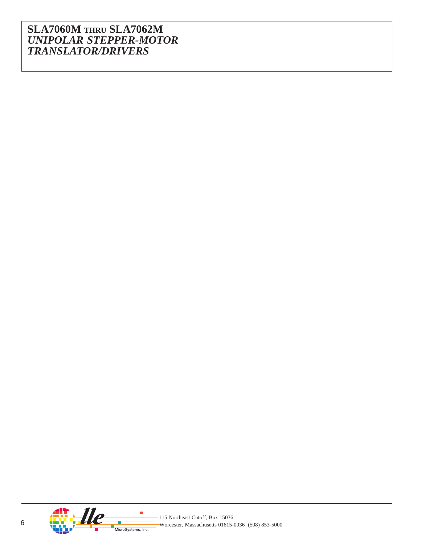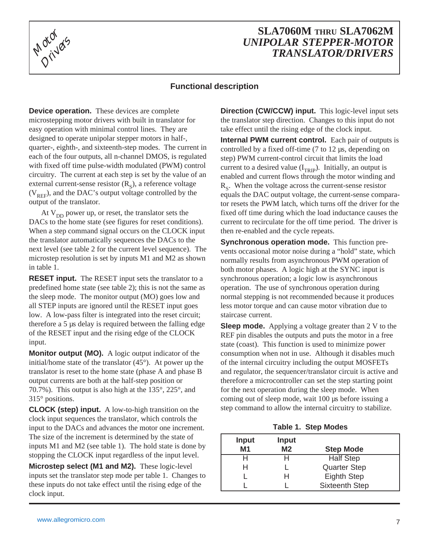

### **Functional description**

**Device operation.** These devices are complete microstepping motor drivers with built in translator for easy operation with minimal control lines. They are designed to operate unipolar stepper motors in half-, quarter-, eighth-, and sixteenth-step modes. The current in each of the four outputs, all n-channel DMOS, is regulated with fixed off time pulse-width modulated (PWM) control circuitry. The current at each step is set by the value of an external current-sense resistor  $(R_s)$ , a reference voltage  $(V<sub>REF</sub>)$ , and the DAC's output voltage controlled by the output of the translator.

At  $V_{DD}$  power up, or reset, the translator sets the DACs to the home state (see figures for reset conditions). When a step command signal occurs on the CLOCK input the translator automatically sequences the DACs to the next level (see table 2 for the current level sequence). The microstep resolution is set by inputs M1 and M2 as shown in table 1.

**RESET input.** The RESET input sets the translator to a predefined home state (see table 2); this is not the same as the sleep mode. The monitor output (MO) goes low and all STEP inputs are ignored until the RESET input goes low. A low-pass filter is integrated into the reset circuit; therefore a 5 µs delay is required between the falling edge of the RESET input and the rising edge of the CLOCK input.

**Monitor output (MO).** A logic output indicator of the initial/home state of the translator (45°). At power up the translator is reset to the home state (phase A and phase B output currents are both at the half-step position or 70.7%). This output is also high at the 135°, 225°, and 315° positions.

**CLOCK (step) input.** A low-to-high transition on the clock input sequences the translator, which controls the input to the DACs and advances the motor one increment. The size of the increment is determined by the state of inputs M1 and M2 (see table 1). The hold state is done by stopping the CLOCK input regardless of the input level.

**Microstep select (M1 and M2).** These logic-level inputs set the translator step mode per table 1. Changes to these inputs do not take effect until the rising edge of the clock input.

**Direction (CW/CCW) input.** This logic-level input sets the translator step direction. Changes to this input do not take effect until the rising edge of the clock input.

**Internal PWM current control.** Each pair of outputs is controlled by a fixed off-time (7 to 12 µs, depending on step) PWM current-control circuit that limits the load current to a desired value  $(I_{TRIP})$ . Initially, an output is enabled and current flows through the motor winding and  $R<sub>s</sub>$ . When the voltage across the current-sense resistor equals the DAC output voltage, the current-sense comparator resets the PWM latch, which turns off the driver for the fixed off time during which the load inductance causes the current to recirculate for the off time period. The driver is then re-enabled and the cycle repeats.

**Synchronous operation mode.** This function prevents occasional motor noise during a "hold" state, which normally results from asynchronous PWM operation of both motor phases. A logic high at the SYNC input is synchronous operation; a logic low is asynchronous operation. The use of synchronous operation during normal stepping is not recommended because it produces less motor torque and can cause motor vibration due to staircase current.

**Sleep mode.** Applying a voltage greater than 2 V to the REF pin disables the outputs and puts the motor in a free state (coast). This function is used to minimize power consumption when not in use. Although it disables much of the internal circuitry including the output MOSFETs and regulator, the sequencer/translator circuit is active and therefore a microcontroller can set the step starting point for the next operation during the sleep mode. When coming out of sleep mode, wait 100 µs before issuing a step command to allow the internal circuitry to stabilize.

**Table 1. Step Modes**

| <b>Input</b><br>M <sub>1</sub> | <b>Input</b><br>M <sub>2</sub> | <b>Step Mode</b>      |
|--------------------------------|--------------------------------|-----------------------|
|                                |                                | <b>Half Step</b>      |
| н                              |                                | <b>Quarter Step</b>   |
|                                | н                              | <b>Eighth Step</b>    |
|                                |                                | <b>Sixteenth Step</b> |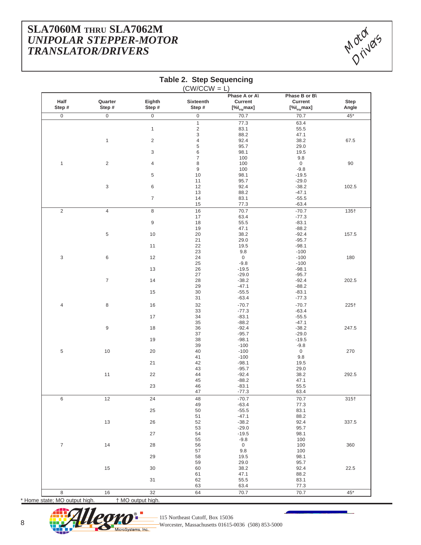

| <b>Table 2. Step Sequencing</b><br>$(CW/CCW = L)$ |                   |                       |                                         |                                                              |                                                       |                      |
|---------------------------------------------------|-------------------|-----------------------|-----------------------------------------|--------------------------------------------------------------|-------------------------------------------------------|----------------------|
| Half<br>Step #                                    | Quarter<br>Step # | Eighth<br>Step #      | Sixteenth<br>Step #                     | Phase A or A\<br><b>Current</b><br>$[\%]_{\text{trip}}$ max] | Phase B or B\<br>Current<br>$[\%]_{\text{trip}}$ max] | <b>Step</b><br>Angle |
| $\mathsf 0$                                       | $\overline{0}$    | $\overline{0}$        | $\mathsf 0$                             | 70.7                                                         | 70.7                                                  | $45*$                |
|                                                   |                   | $\mathbf{1}$          | $\mathbf{1}$<br>$\overline{\mathbf{c}}$ | 77.3<br>83.1                                                 | 63.4<br>55.5                                          |                      |
|                                                   | $\mathbf{1}$      | $\overline{2}$        | 3<br>$\overline{4}$<br>5                | 88.2<br>92.4<br>95.7                                         | 47.1<br>38.2<br>29.0                                  | 67.5                 |
| $\mathbf{1}$                                      | $\overline{2}$    | 3<br>4                | 6<br>$\overline{7}$<br>8                | 98.1<br>100<br>100                                           | 19.5<br>9.8<br>$\mathsf{O}\xspace$                    | 90                   |
|                                                   |                   | 5                     | $\boldsymbol{9}$<br>$10$                | 100<br>98.1                                                  | $-9.8$<br>$-19.5$                                     |                      |
|                                                   | 3                 | 6                     | 11<br>12<br>13                          | 95.7<br>92.4<br>88.2                                         | $-29.0$<br>$-38.2$<br>$-47.1$                         | 102.5                |
|                                                   |                   | $\boldsymbol{7}$      | 14<br>15                                | 83.1<br>77.3                                                 | $-55.5$<br>$-63.4$                                    |                      |
| $\overline{2}$                                    | $\overline{4}$    | 8<br>$\boldsymbol{9}$ | 16<br>17<br>18                          | 70.7<br>63.4<br>55.5                                         | $-70.7$<br>$-77.3$<br>$-83.1$                         | 135†                 |
|                                                   | 5                 | $10$                  | 19<br>20                                | 47.1<br>38.2                                                 | $-88.2$<br>$-92.4$                                    | 157.5                |
|                                                   |                   | 11                    | 21<br>22<br>23                          | 29.0<br>19.5<br>9.8                                          | $-95.7$<br>$-98.1$<br>$-100$                          |                      |
| 3                                                 | 6                 | 12                    | 24<br>25                                | $\boldsymbol{0}$<br>$-9.8$                                   | $-100$<br>$-100$                                      | 180                  |
|                                                   | $\overline{7}$    | $13$<br>14            | 26<br>27<br>28                          | $-19.5$<br>$-29.0$<br>$-38.2$                                | $-98.1$<br>$-95.7$<br>$-92.4$                         | 202.5                |
|                                                   |                   | 15                    | 29<br>30<br>31                          | $-47.1$<br>$-55.5$<br>$-63.4$                                | $-88.2$<br>$-83.1$                                    |                      |
| 4                                                 | 8                 | $16\,$                | 32<br>33                                | $-70.7$<br>$-77.3$                                           | $-77.3$<br>$-70.7$<br>$-63.4$                         | 225†                 |
|                                                   |                   | 17                    | 34<br>35                                | $-83.1$<br>$-88.2$                                           | $-55.5$<br>$-47.1$                                    |                      |
|                                                   | 9                 | 18<br>19              | 36<br>37<br>38                          | $-92.4$<br>$-95.7$<br>$-98.1$                                | $-38.2$<br>$-29.0$<br>$-19.5$                         | 247.5                |
| 5                                                 | 10                | 20                    | 39<br>40<br>41                          | $-100$<br>$-100$<br>$-100$                                   | $-9.8$<br>$\mathsf{O}\xspace$<br>9.8                  | 270                  |
|                                                   |                   | 21                    | 42<br>43                                | $-98.1$<br>$-95.7$                                           | 19.5<br>29.0                                          |                      |
|                                                   | 11                | 22<br>23              | 44<br>45<br>46                          | $-92.4$<br>$-88.2$<br>$-83.1$                                | 38.2<br>47.1<br>55.5                                  | 292.5                |
| $\,6\,$                                           | $12$              | 24                    | 47<br>48                                | $-77.3$<br>$-70.7$                                           | 63.4<br>70.7                                          | 315†                 |
|                                                   |                   | 25                    | 49<br>50<br>51                          | $-63.4$<br>$-55.5$<br>$-47.1$                                | 77.3<br>83.1<br>88.2                                  |                      |
|                                                   | $13$              | 26                    | 52<br>53                                | $-38.2$<br>$-29.0$                                           | 92.4<br>95.7                                          | 337.5                |
| $\boldsymbol{7}$                                  | 14                | 27<br>28              | 54<br>55<br>56                          | $-19.5$<br>$-9.8$<br>$\mathbf 0$                             | 98.1<br>100<br>100                                    | 360                  |
|                                                   |                   | 29                    | 57<br>58                                | $9.8\,$<br>19.5                                              | 100<br>98.1                                           |                      |
|                                                   | $15\,$            | 30                    | 59<br>60<br>61                          | 29.0<br>38.2<br>47.1                                         | 95.7<br>92.4<br>88.2                                  | 22.5                 |
|                                                   |                   | 31                    | 62<br>63                                | 55.5<br>63.4                                                 | 83.1<br>77.3                                          |                      |
| 8                                                 | $16\,$            | $32\,$                | 64                                      | 70.7                                                         | 70.7                                                  | 45*                  |

#### \* Home state; MO output high. † MO output high.



115 Northeast Cutoff, Box 15036

Worcester, Massachusetts 01615-0036 (508) 853-5000

8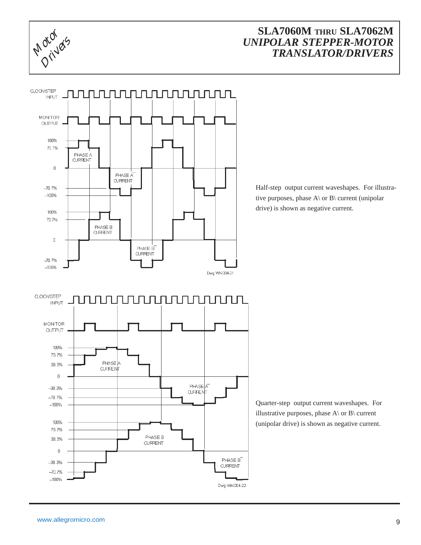



Half-step output current waveshapes. For illustrative purposes, phase  $A \cup B \cup C$  current (unipolar drive) is shown as negative current.

Quarter-step output current waveshapes. For illustrative purposes, phase  $A \circ B \$  current (unipolar drive) is shown as negative current.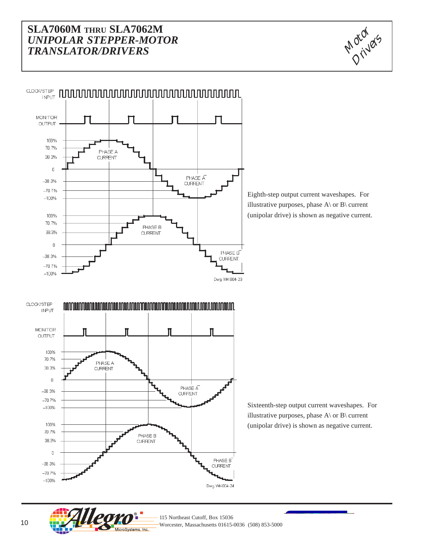



Eighth-step output current waveshapes. For illustrative purposes, phase  $A \circ B \$  current (unipolar drive) is shown as negative current.



Sixteenth-step output current waveshapes. For illustrative purposes, phase  $A \cup B \cup C$  current (unipolar drive) is shown as negative current.



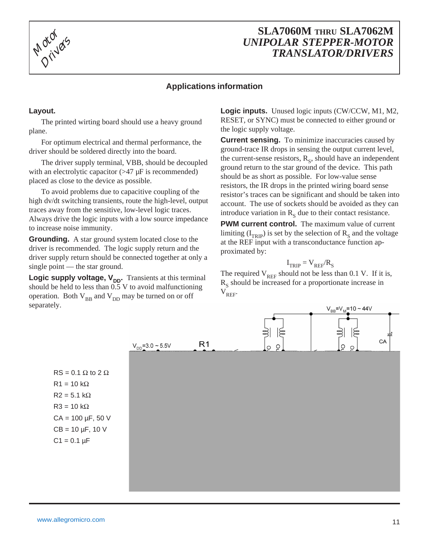

### **Applications information**

#### **Layout.**

The printed wirting board should use a heavy ground plane.

For optimum electrical and thermal performance, the driver should be soldered directly into the board.

The driver supply terminal, VBB, should be decoupled with an electrolytic capacitor (>47  $\mu$ F is recommended) placed as close to the device as possible.

To avoid problems due to capacitive coupling of the high dv/dt switching transients, route the high-level, output traces away from the sensitive, low-level logic traces. Always drive the logic inputs with a low source impedance to increase noise immunity.

**Grounding.** A star ground system located close to the driver is recommended. The logic supply return and the driver supply return should be connected together at only a single point — the star ground.

**Logic supply voltage, V<sub>DD</sub>.** Transients at this terminal should be held to less than  $0.5$  V to avoid malfunctioning operation. Both  $V_{BB}$  and  $V_{DD}$  may be turned on or off separately.

**Logic inputs.** Unused logic inputs (CW/CCW, M1, M2, RESET, or SYNC) must be connected to either ground or the logic supply voltage.

**Current sensing.** To minimize inaccuracies caused by ground-trace IR drops in sensing the output current level, the current-sense resistors,  $R_s$ , should have an independent ground return to the star ground of the device. This path should be as short as possible. For low-value sense resistors, the IR drops in the printed wiring board sense resistor's traces can be significant and should be taken into account. The use of sockets should be avoided as they can introduce variation in  $R_s$  due to their contact resistance.

**PWM current control.** The maximum value of current limiting  $(I<sub>TRIP</sub>)$  is set by the selection of  $R<sub>S</sub>$  and the voltage at the REF input with a transconductance function approximated by:

$$
\mathbf{I}_{TRIP} = \mathbf{V}_{REF} / \mathbf{R}_S
$$

The required  $V_{REF}$  should not be less than 0.1 V. If it is,  $R_s$  should be increased for a proportionate increase in  $V_{REF}$ 



 $RS = 0.1 \Omega$  to 2  $\Omega$  $R1 = 10 k\Omega$  $R2 = 5.1$  kΩ  $R3 = 10 k\Omega$  $CA = 100 \,\mu F$ , 50 V  $CB = 10 \mu F$ , 10 V  $C1 = 0.1 \mu F$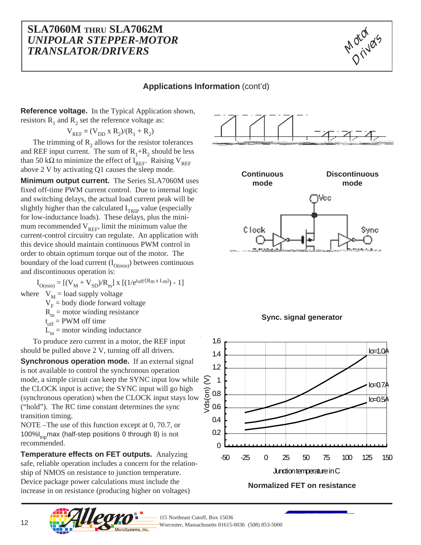

### **Applications Information** (cont'd)

**Reference voltage.** In the Typical Application shown, resistors  $R_1$  and  $R_2$  set the reference voltage as:

$$
V_{REF} = (V_{DD} \times R_2)/(R_1 + R_2)
$$

The trimming of  $R<sub>2</sub>$ , allows for the resistor tolerances and REF input current. The sum of  $R_1 + R_2$  should be less than 50 kΩ to minimize the effect of I<sub>REF</sub>. Raising V<sub>REF</sub> above 2 V by activating Q1 causes the sleep mode.

**Minimum output current.** The Series SLA7060M uses fixed off-time PWM current control. Due to internal logic and switching delays, the actual load current peak will be slightly higher than the calculated  $I_{TRIP}$  value (especially for low-inductance loads). These delays, plus the minimum recommended  $V_{REF}$ , limit the minimum value the current-control circuitry can regulate. An application with this device should maintain continuous PWM control in order to obtain optimum torque out of the motor. The boundary of the load current  $(I<sub>O(min)</sub>)$  between continuous and discontinuous operation is:

 $I_{\text{O}(min)} = [(V_M + V_{SD})/R_m] \times [(1/e^{t_0 f f/(R_m x L_m)}) - 1]$ where  $V_M$  = load supply voltage  $V_F$  = body diode forward voltage

 $R_m$  = motor winding resistance

 $t_{off}$  = PWM off time

 $L_m$  = motor winding inductance

To produce zero current in a motor, the REF input should be pulled above 2 V, turning off all drivers.

**Synchronous operation mode.** If an external signal is not available to control the synchronous operation mode, a simple circuit can keep the SYNC input low while the CLOCK input is active; the SYNC input will go high (synchronous operation) when the CLOCK input stays low ("hold"). The RC time constant determines the sync transition timing.

NOTE –The use of this function except at 0, 70.7, or 100% $I_{\text{trip}}$  max (half-step positions 0 through 8) is not recommended.

**Temperature effects on FET outputs.** Analyzing safe, reliable operation includes a concern for the relationship of NMOS on resistance to junction temperature. Device package power calculations must include the increase in on resistance (producing higher on voltages)



12









**Normalized FET on resistance**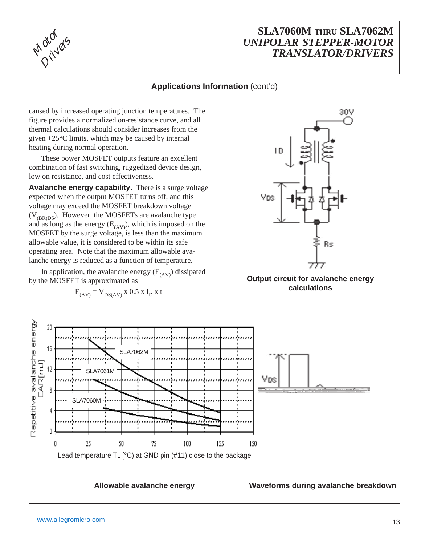

### **Applications Information** (cont'd)

caused by increased operating junction temperatures. The figure provides a normalized on-resistance curve, and all thermal calculations should consider increases from the given +25°C limits, which may be caused by internal heating during normal operation.

These power MOSFET outputs feature an excellent combination of fast switching, ruggedized device design, low on resistance, and cost effectiveness.

**Avalanche energy capability.** There is a surge voltage expected when the output MOSFET turns off, and this voltage may exceed the MOSFET breakdown voltage  $(V_{(BR)DS})$ . However, the MOSFETs are avalanche type and as long as the energy  $(E_{(AV)})$ , which is imposed on the MOSFET by the surge voltage, is less than the maximum allowable value, it is considered to be within its safe operating area. Note that the maximum allowable avalanche energy is reduced as a function of temperature.

In application, the avalanche energy  $(E_{(AV)})$  dissipated by the MOSFET is approximated as

$$
E_{(AV)} = V_{DS(AV)} \times 0.5 \times I_D \times t
$$



**Output circuit for avalanche energy calculations**

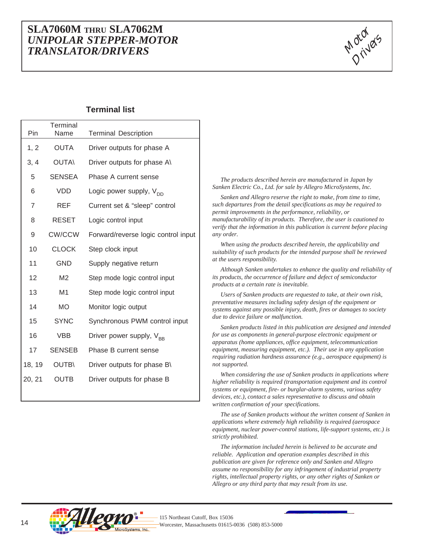

### **Terminal list**

| Pin            | Terminal<br>Name | <b>Terminal Description</b>         |
|----------------|------------------|-------------------------------------|
| 1, 2           | <b>OUTA</b>      | Driver outputs for phase A          |
| 3, 4           | <b>OUTA\</b>     | Driver outputs for phase A\         |
| 5              | <b>SENSEA</b>    | Phase A current sense               |
| 6              | VDD              | Logic power supply, $V_{DD}$        |
| $\overline{7}$ | <b>REF</b>       | Current set & "sleep" control       |
| 8              | <b>RESET</b>     | Logic control input                 |
| 9              | CW/CCW           | Forward/reverse logic control input |
| 10             | <b>CLOCK</b>     | Step clock input                    |
| 11             | <b>GND</b>       | Supply negative return              |
| 12             | M <sub>2</sub>   | Step mode logic control input       |
| 13             | M1               | Step mode logic control input       |
| 14             | <b>MO</b>        | Monitor logic output                |
| 15             | <b>SYNC</b>      | Synchronous PWM control input       |
| 16             | VBB              | Driver power supply, $V_{BB}$       |
| 17             | <b>SENSEB</b>    | Phase B current sense               |
| 18, 19         | <b>OUTB\</b>     | Driver outputs for phase B\         |
| 20, 21         | <b>OUTB</b>      | Driver outputs for phase B          |
|                |                  |                                     |

*The products described herein are manufactured in Japan by Sanken Electric Co., Ltd. for sale by Allegro MicroSystems, Inc.*

*Sanken and Allegro reserve the right to make, from time to time, such departures from the detail specifications as may be required to permit improvements in the performance, reliability, or manufacturability of its products. Therefore, the user is cautioned to verify that the information in this publication is current before placing any order.*

*When using the products described herein, the applicability and suitability of such products for the intended purpose shall be reviewed at the users responsibility.*

*Although Sanken undertakes to enhance the quality and reliability of its products, the occurrence of failure and defect of semiconductor products at a certain rate is inevitable.*

*Users of Sanken products are requested to take, at their own risk, preventative measures including safety design of the equipment or systems against any possible injury, death, fires or damages to society due to device failure or malfunction.*

*Sanken products listed in this publication are designed and intended for use as components in general-purpose electronic equipment or apparatus (home appliances, office equipment, telecommunication equipment, measuring equipment, etc.). Their use in any application requiring radiation hardness assurance (e.g., aerospace equipment) is not supported.*

*When considering the use of Sanken products in applications where higher reliability is required (transportation equipment and its control systems or equipment, fire- or burglar-alarm systems, various safety devices, etc.), contact a sales representative to discuss and obtain written confirmation of your specifications.*

*The use of Sanken products without the written consent of Sanken in applications where extremely high reliability is required (aerospace equipment, nuclear power-control stations, life-support systems, etc.) is strictly prohibited.*

*The information included herein is believed to be accurate and reliable. Application and operation examples described in this publication are given for reference only and Sanken and Allegro assume no responsibility for any infringement of industrial property rights, intellectual property rights, or any other rights of Sanken or Allegro or any third party that may result from its use.*

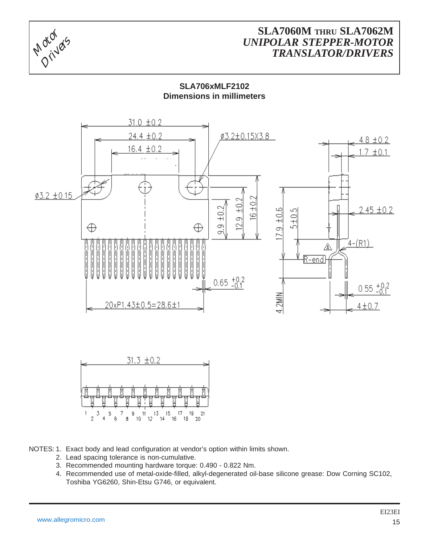

**SLA706xMLF2102 Dimensions in millimeters**



- NOTES: 1. Exact body and lead configuration at vendor's option within limits shown.
	- 2. Lead spacing tolerance is non-cumulative.
	- 3. Recommended mounting hardware torque: 0.490 0.822 Nm.
	- 4. Recommended use of metal-oxide-filled, alkyl-degenerated oil-base silicone grease: Dow Corning SC102, Toshiba YG6260, Shin-Etsu G746, or equivalent.